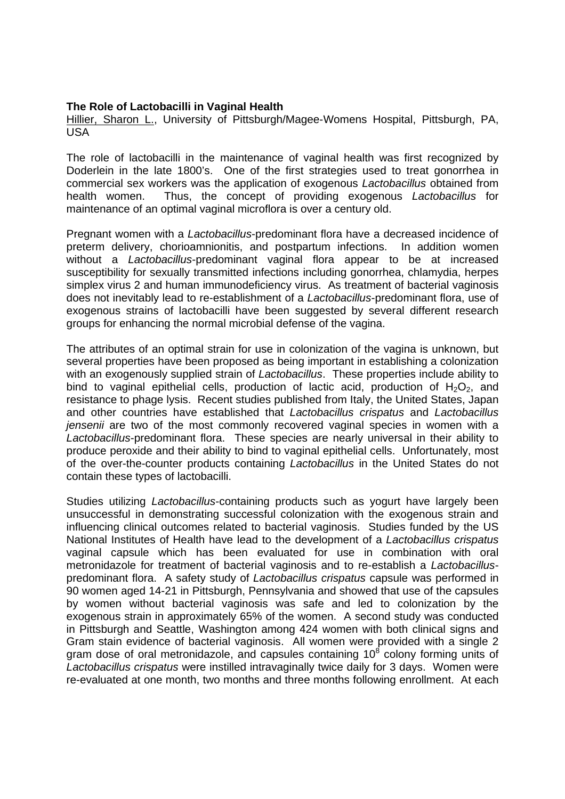## **The Role of Lactobacilli in Vaginal Health**

Hillier, Sharon L., University of Pittsburgh/Magee-Womens Hospital, Pittsburgh, PA, USA

The role of lactobacilli in the maintenance of vaginal health was first recognized by Doderlein in the late 1800's. One of the first strategies used to treat gonorrhea in commercial sex workers was the application of exogenous *Lactobacillus* obtained from health women. Thus, the concept of providing exogenous *Lactobacillus* for maintenance of an optimal vaginal microflora is over a century old.

Pregnant women with a *Lactobacillus*-predominant flora have a decreased incidence of preterm delivery, chorioamnionitis, and postpartum infections. In addition women without a *Lactobacillus*-predominant vaginal flora appear to be at increased susceptibility for sexually transmitted infections including gonorrhea, chlamydia, herpes simplex virus 2 and human immunodeficiency virus. As treatment of bacterial vaginosis does not inevitably lead to re-establishment of a *Lactobacillus*-predominant flora, use of exogenous strains of lactobacilli have been suggested by several different research groups for enhancing the normal microbial defense of the vagina.

The attributes of an optimal strain for use in colonization of the vagina is unknown, but several properties have been proposed as being important in establishing a colonization with an exogenously supplied strain of *Lactobacillus*. These properties include ability to bind to vaginal epithelial cells, production of lactic acid, production of  $H_2O_2$ , and resistance to phage lysis. Recent studies published from Italy, the United States, Japan and other countries have established that *Lactobacillus crispatus* and *Lactobacillus jensenii* are two of the most commonly recovered vaginal species in women with a *Lactobacillus*-predominant flora. These species are nearly universal in their ability to produce peroxide and their ability to bind to vaginal epithelial cells. Unfortunately, most of the over-the-counter products containing *Lactobacillus* in the United States do not contain these types of lactobacilli.

Studies utilizing *Lactobacillus*-containing products such as yogurt have largely been unsuccessful in demonstrating successful colonization with the exogenous strain and influencing clinical outcomes related to bacterial vaginosis. Studies funded by the US National Institutes of Health have lead to the development of a *Lactobacillus crispatus* vaginal capsule which has been evaluated for use in combination with oral metronidazole for treatment of bacterial vaginosis and to re-establish a *Lactobacillus*predominant flora. A safety study of *Lactobacillus crispatus* capsule was performed in 90 women aged 14-21 in Pittsburgh, Pennsylvania and showed that use of the capsules by women without bacterial vaginosis was safe and led to colonization by the exogenous strain in approximately 65% of the women. A second study was conducted in Pittsburgh and Seattle, Washington among 424 women with both clinical signs and Gram stain evidence of bacterial vaginosis. All women were provided with a single 2 gram dose of oral metronidazole, and capsules containing  $10^8$  colony forming units of *Lactobacillus crispatus* were instilled intravaginally twice daily for 3 days. Women were re-evaluated at one month, two months and three months following enrollment. At each